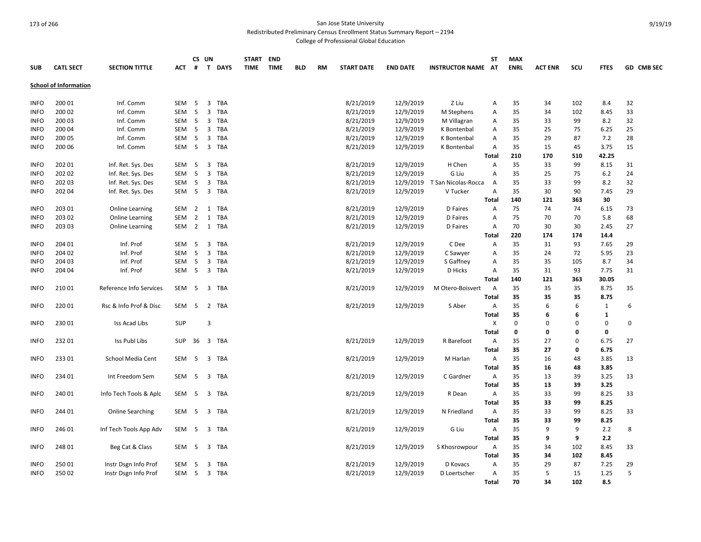Redistributed Preliminary Census Enrollment Status Summary Report – 2194

College of Professional Global Education

|             |                              |                         |            |                | CS UN          |             | START END   |             |            |           |                   |                 |                        | ST                | <b>MAX</b>  |                |           |              |                   |
|-------------|------------------------------|-------------------------|------------|----------------|----------------|-------------|-------------|-------------|------------|-----------|-------------------|-----------------|------------------------|-------------------|-------------|----------------|-----------|--------------|-------------------|
| <b>SUB</b>  | <b>CATL SECT</b>             | <b>SECTION TITTLE</b>   | ACT        | #              | $\mathbf{T}$   | <b>DAYS</b> | <b>TIME</b> | <b>TIME</b> | <b>BLD</b> | <b>RM</b> | <b>START DATE</b> | <b>END DATE</b> | <b>INSTRUCTOR NAME</b> | AT                | <b>ENRL</b> | <b>ACT ENR</b> | scu       | <b>FTES</b>  | <b>GD CMB SEC</b> |
|             | <b>School of Information</b> |                         |            |                |                |             |             |             |            |           |                   |                 |                        |                   |             |                |           |              |                   |
|             |                              |                         |            |                |                |             |             |             |            |           |                   |                 |                        |                   |             |                |           |              |                   |
| <b>INFO</b> | 200 01                       | Inf. Comm               | SEM        | -5             | 3              | TBA         |             |             |            |           | 8/21/2019         | 12/9/2019       | Z Liu                  | Α                 | 35          | 34             | 102       | 8.4          | 32                |
| <b>INFO</b> | 200 02                       | Inf. Comm               | SEM        | 5              | $\overline{3}$ | TBA         |             |             |            |           | 8/21/2019         | 12/9/2019       | M Stephens             | Α                 | 35          | 34             | 102       | 8.45         | 33                |
| <b>INFO</b> | 200 03                       | Inf. Comm               | SEM        | 5              | 3              | <b>TBA</b>  |             |             |            |           | 8/21/2019         | 12/9/2019       | M Villagran            | Α                 | 35          | 33             | 99        | 8.2          | 32                |
| <b>INFO</b> | 200 04                       | Inf. Comm               | SEM        | -5             | $\overline{3}$ | TBA         |             |             |            |           | 8/21/2019         | 12/9/2019       | K Bontenbal            | Α                 | 35          | 25             | 75        | 6.25         | 25                |
| <b>INFO</b> | 200 05                       | Inf. Comm               | SEM        | - 5            | 3              | TBA         |             |             |            |           | 8/21/2019         | 12/9/2019       | K Bontenbal            | A                 | 35          | 29             | 87        | 7.2          | 28                |
| <b>INFO</b> | 200 06                       | Inf. Comm               | SEM        | $5^{\circ}$    |                | 3 TBA       |             |             |            |           | 8/21/2019         | 12/9/2019       | K Bontenbal            | A                 | 35          | 15             | 45        | 3.75         | 15                |
|             |                              |                         |            |                |                |             |             |             |            |           |                   |                 |                        | <b>Total</b>      | 210         | 170            | 510       | 42.25        |                   |
| <b>INFO</b> | 202 01                       | Inf. Ret. Sys. Des      | SEM        | -5             | 3              | TBA         |             |             |            |           | 8/21/2019         | 12/9/2019       | H Chen                 | Α                 | 35          | 33             | 99        | 8.15         | 31                |
| <b>INFO</b> | 202 02                       | Inf. Ret. Sys. Des      | <b>SEM</b> | 5              | 3              | <b>TBA</b>  |             |             |            |           | 8/21/2019         | 12/9/2019       | G Liu                  | A                 | 35          | 25             | 75        | $6.2$        | 24                |
| <b>INFO</b> | 202 03                       | Inf. Ret. Sys. Des      | SEM        | 5              | $\overline{3}$ | TBA         |             |             |            |           | 8/21/2019         | 12/9/2019       | T San Nicolas-Rocca    | $\overline{A}$    | 35          | 33             | 99        | 8.2          | 32                |
| <b>INFO</b> | 202 04                       | Inf. Ret. Sys. Des      | SEM        | 5              | 3              | <b>TBA</b>  |             |             |            |           | 8/21/2019         | 12/9/2019       | V Tucker               | $\overline{A}$    | 35          | 30             | 90        | 7.45         | 29                |
|             |                              |                         |            |                |                |             |             |             |            |           |                   |                 |                        | <b>Total</b>      | 140         | 121            | 363       | 30           |                   |
| <b>INFO</b> | 203 01                       | Online Learning         | SEM        | $\overline{2}$ | 1              | <b>TBA</b>  |             |             |            |           | 8/21/2019         | 12/9/2019       | D Faires               | Α                 | 75          | 74             | 74        | 6.15         | 73                |
| <b>INFO</b> | 203 02                       | Online Learning         | <b>SEM</b> | $\overline{2}$ | 1              | <b>TBA</b>  |             |             |            |           | 8/21/2019         | 12/9/2019       | D Faires               | Α                 | 75          | 70             | 70        | 5.8          | 68                |
| <b>INFO</b> | 203 03                       | <b>Online Learning</b>  | SEM        | $\overline{2}$ |                | 1 TBA       |             |             |            |           | 8/21/2019         | 12/9/2019       | D Faires               | Α                 | 70          | 30             | 30        | 2.45         | 27                |
|             |                              |                         |            |                |                |             |             |             |            |           |                   |                 |                        | <b>Total</b>      | 220         | 174            | 174       | 14.4         |                   |
| <b>INFO</b> | 204 01                       | Inf. Prof               | SEM        | 5              | $\overline{3}$ | TBA         |             |             |            |           | 8/21/2019         | 12/9/2019       | C Dee                  | Α                 | 35          | 31             | 93        | 7.65         | 29                |
| <b>INFO</b> | 204 02                       | Inf. Prof               | SEM        | 5              | $\overline{3}$ | <b>TBA</b>  |             |             |            |           | 8/21/2019         | 12/9/2019       | C Sawyer               | Α                 | 35          | 24             | 72        | 5.95         | 23                |
| <b>INFO</b> | 204 03                       | Inf. Prof               | SEM        | 5              | 3              | <b>TBA</b>  |             |             |            |           | 8/21/2019         | 12/9/2019       | S Gaffney              | Α                 | 35          | 35             | 105       | 8.7          | 34                |
| <b>INFO</b> | 204 04                       | Inf. Prof               | SEM        | 5              | $\overline{3}$ | <b>TBA</b>  |             |             |            |           | 8/21/2019         | 12/9/2019       | D Hicks                | Α                 | 35          | 31             | 93        | 7.75         | 31                |
|             |                              |                         |            |                |                |             |             |             |            |           |                   |                 |                        | <b>Total</b>      | 140         | 121            | 363       | 30.05        |                   |
| <b>INFO</b> | 21001                        | Reference Info Services | SEM        | 5              |                | 3 TBA       |             |             |            |           | 8/21/2019         | 12/9/2019       | M Otero-Boisvert       | A                 | 35          | 35             | 35        | 8.75         | 35                |
|             |                              |                         |            |                |                |             |             |             |            |           |                   |                 |                        | <b>Total</b>      | 35          | 35             | 35        | 8.75         |                   |
| <b>INFO</b> | 220 01                       | Rsc & Info Prof & Disc  | SEM        | -5             | $\overline{2}$ | TBA         |             |             |            |           | 8/21/2019         | 12/9/2019       | S Aber                 | Α                 | 35          | 6              | 6         | $\mathbf{1}$ | 6                 |
|             |                              |                         |            |                |                |             |             |             |            |           |                   |                 |                        | <b>Total</b>      | 35          | 6              | 6         | $\mathbf{1}$ |                   |
| <b>INFO</b> | 23001                        | Iss Acad Libs           | <b>SUP</b> |                | 3              |             |             |             |            |           |                   |                 |                        | х                 | $\mathbf 0$ | $\Omega$       | 0         | 0            | 0                 |
|             |                              |                         |            |                |                |             |             |             |            |           |                   |                 |                        | <b>Total</b>      | 0           | 0              | 0         | 0            |                   |
| <b>INFO</b> | 23201                        | <b>Iss Publ Libs</b>    | <b>SUP</b> | 36             |                | 3 TBA       |             |             |            |           | 8/21/2019         | 12/9/2019       | R Barefoot             | Α                 | 35          | 27             | 0         | 6.75         | 27                |
|             |                              |                         |            |                |                |             |             |             |            |           |                   |                 |                        | <b>Total</b>      | 35          | 27             | 0         | 6.75         |                   |
| <b>INFO</b> | 23301                        | School Media Cent       | SEM        | -5             | 3              | <b>TBA</b>  |             |             |            |           | 8/21/2019         | 12/9/2019       | M Harlan               | A                 | 35          | 16             | 48        | 3.85         | 13                |
|             |                              |                         |            |                |                |             |             |             |            |           |                   |                 |                        | <b>Total</b>      | 35          | 16             | 48        | 3.85         |                   |
| <b>INFO</b> | 234 01                       | Int Freedom Sem         | SEM        | 5              | 3              | <b>TBA</b>  |             |             |            |           | 8/21/2019         | 12/9/2019       | C Gardner              | $\overline{A}$    | 35          | 13             | 39        | 3.25         | 13                |
|             |                              |                         |            |                |                |             |             |             |            |           |                   |                 |                        | <b>Total</b>      | 35          | 13             | 39        | 3.25         |                   |
| <b>INFO</b> | 240 01                       | Info Tech Tools & Aplc  | SEM        | - 5            | 3              | TBA         |             |             |            |           | 8/21/2019         | 12/9/2019       | R Dean                 | A                 | 35          | 33             | 99        | 8.25         | 33                |
|             |                              |                         |            |                |                |             |             |             |            |           |                   |                 |                        | <b>Total</b>      | 35          | 33             | 99        | 8.25         |                   |
| <b>INFO</b> | 244 01                       | <b>Online Searching</b> | SEM        | 5              | $\overline{3}$ | TBA         |             |             |            |           | 8/21/2019         | 12/9/2019       | N Friedland            | A                 | 35          | 33             | 99        | 8.25         | 33                |
|             |                              |                         |            |                |                |             |             |             |            |           |                   |                 |                        | <b>Total</b>      | 35          | 33             | 99        | 8.25         |                   |
| <b>INFO</b> | 246 01                       | Inf Tech Tools App Adv  | SEM        | 5              | $\overline{3}$ | TBA         |             |             |            |           | 8/21/2019         | 12/9/2019       | G Liu                  | A                 | 35          | 9              | 9         | 2.2          | 8                 |
|             |                              |                         |            |                |                |             |             |             |            |           |                   |                 |                        |                   |             |                |           |              |                   |
|             | 248 01                       |                         | SEM        | 5              | $\overline{3}$ | TBA         |             |             |            |           |                   |                 |                        | <b>Total</b><br>A | 35<br>35    | 9<br>34        | 9<br>102  | 2.2<br>8.45  | 33                |
| <b>INFO</b> |                              | Beg Cat & Class         |            |                |                |             |             |             |            |           | 8/21/2019         | 12/9/2019       | S Khosrowpour          |                   |             |                |           |              |                   |
|             |                              |                         |            |                |                |             |             |             |            |           |                   |                 |                        | <b>Total</b>      | 35<br>35    | 34<br>29       | 102<br>87 | 8.45         |                   |
| <b>INFO</b> | 25001                        | Instr Dsgn Info Prof    | SEM        | 5              | 3              | <b>TBA</b>  |             |             |            |           | 8/21/2019         | 12/9/2019       | D Kovacs               | Α                 |             | 5              |           | 7.25         | 29<br>5           |
| <b>INFO</b> | 25002                        | Instr Dsgn Info Prof    | SEM        | 5              |                | 3 TBA       |             |             |            |           | 8/21/2019         | 12/9/2019       | D Loertscher           | A                 | 35          |                | 15        | 1.25         |                   |
|             |                              |                         |            |                |                |             |             |             |            |           |                   |                 |                        | Total             | 70          | 34             | 102       | 8.5          |                   |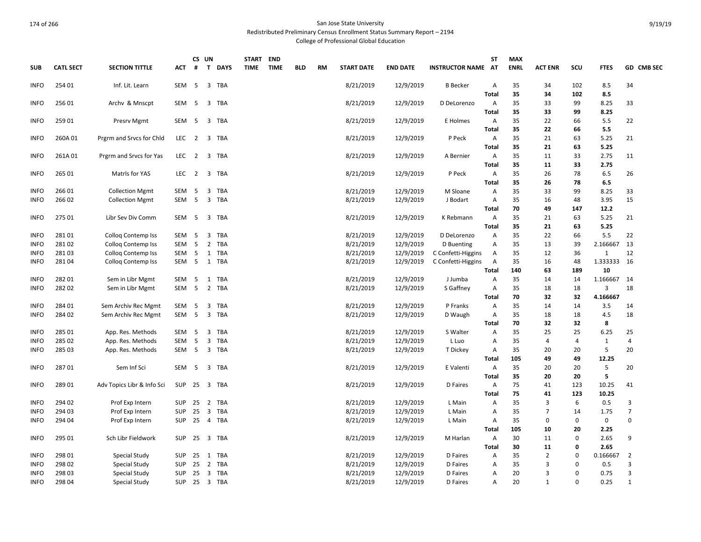Redistributed Preliminary Census Enrollment Status Summary Report – 2194

College of Professional Global Education

| <b>SUB</b>  | <b>CATL SECT</b> | <b>SECTION TITTLE</b>      | <b>ACT</b>       | #              | CS UN<br>$\mathbf{T}$   | <b>DAYS</b>  | <b>START</b><br><b>TIME</b> | <b>END</b><br><b>TIME</b> | <b>BLD</b> | <b>RM</b> | <b>START DATE</b> | <b>END DATE</b> | <b>INSTRUCTOR NAME AT</b> | ST                | <b>MAX</b><br><b>ENRL</b> | <b>ACT ENR</b> | SCU         | <b>FTES</b>    | GD CMB SEC     |
|-------------|------------------|----------------------------|------------------|----------------|-------------------------|--------------|-----------------------------|---------------------------|------------|-----------|-------------------|-----------------|---------------------------|-------------------|---------------------------|----------------|-------------|----------------|----------------|
| <b>INFO</b> | 254 01           | Inf. Lit. Learn            | SEM              | 5              |                         | 3 TBA        |                             |                           |            |           | 8/21/2019         | 12/9/2019       | <b>B</b> Becker           | Α                 | 35                        | 34             | 102         | 8.5            | 34             |
|             |                  |                            |                  |                |                         |              |                             |                           |            |           |                   |                 |                           | <b>Total</b>      | 35                        | 34             | 102         | 8.5            |                |
| <b>INFO</b> | 25601            | Archy & Mnscpt             | SEM              | -5             | 3                       | TBA          |                             |                           |            |           | 8/21/2019         | 12/9/2019       | D DeLorenzo               | Α                 | 35                        | 33             | 99          | 8.25           | 33             |
|             |                  |                            |                  |                |                         |              |                             |                           |            |           |                   |                 |                           | <b>Total</b>      | 35                        | 33             | 99          | 8.25           |                |
| <b>INFO</b> | 259 01           | <b>Presrv Mgmt</b>         | SEM              | -5             | $\overline{3}$          | <b>TBA</b>   |                             |                           |            |           | 8/21/2019         | 12/9/2019       | E Holmes                  | Α                 | 35                        | 22             | 66          | 5.5            | 22             |
|             |                  |                            |                  |                |                         |              |                             |                           |            |           |                   |                 |                           | <b>Total</b>      | 35                        | 22             | 66          | 5.5            |                |
| <b>INFO</b> | 260A 01          | Prgrm and Srvcs for Chld   | LEC              | $\overline{2}$ | 3                       | TBA          |                             |                           |            |           | 8/21/2019         | 12/9/2019       | P Peck                    | Α                 | 35                        | 21             | 63          | 5.25           | 21             |
|             |                  |                            |                  |                |                         |              |                             |                           |            |           |                   |                 |                           | <b>Total</b>      | 35                        | 21             | 63          | 5.25           |                |
| <b>INFO</b> | 261A01           | Prgrm and Srvcs for Yas    | LEC <sub>2</sub> |                |                         | 3 TBA        |                             |                           |            |           | 8/21/2019         | 12/9/2019       | A Bernier                 | Α<br><b>Total</b> | 35<br>35                  | 11<br>11       | 33<br>33    | 2.75<br>2.75   | 11             |
|             |                  |                            |                  |                | $\overline{\mathbf{3}}$ | <b>TBA</b>   |                             |                           |            |           |                   |                 |                           |                   | 35                        |                | 78          |                | 26             |
| <b>INFO</b> | 265 01           | Matrls for YAS             | LEC <sub>2</sub> |                |                         |              |                             |                           |            |           | 8/21/2019         | 12/9/2019       | P Peck                    | Α<br><b>Total</b> | 35                        | 26<br>26       | 78          | 6.5<br>6.5     |                |
| <b>INFO</b> | 26601            | <b>Collection Mgmt</b>     | SEM              | 5              | 3                       | TBA          |                             |                           |            |           | 8/21/2019         | 12/9/2019       | M Sloane                  | A                 | 35                        | 33             | 99          | 8.25           | 33             |
| <b>INFO</b> | 26602            | <b>Collection Mgmt</b>     | SEM              | $5^{\circ}$    |                         | 3 TBA        |                             |                           |            |           | 8/21/2019         | 12/9/2019       | J Bodart                  | Α                 | 35                        | 16             | 48          | 3.95           | 15             |
|             |                  |                            |                  |                |                         |              |                             |                           |            |           |                   |                 |                           | <b>Total</b>      | 70                        | 49             | 147         | 12.2           |                |
| <b>INFO</b> | 275 01           | Libr Sev Div Comm          | SEM              | 5              |                         | 3 TBA        |                             |                           |            |           | 8/21/2019         | 12/9/2019       | K Rebmann                 | Α                 | 35                        | 21             | 63          | 5.25           | 21             |
|             |                  |                            |                  |                |                         |              |                             |                           |            |           |                   |                 |                           | <b>Total</b>      | 35                        | 21             | 63          | 5.25           |                |
| <b>INFO</b> | 28101            | <b>Collog Contemp Iss</b>  | SEM              | 5              | $\overline{3}$          | <b>TBA</b>   |                             |                           |            |           | 8/21/2019         | 12/9/2019       | D DeLorenzo               | Α                 | 35                        | 22             | 66          | 5.5            | 22             |
| <b>INFO</b> | 28102            | Colloq Contemp Iss         | SEM              | 5              | $\overline{2}$          | <b>TBA</b>   |                             |                           |            |           | 8/21/2019         | 12/9/2019       | D Buenting                | Α                 | 35                        | 13             | 39          | 2.166667       | 13             |
| <b>INFO</b> | 28103            | <b>Collog Contemp Iss</b>  | SEM              | 5              |                         | 1 TBA        |                             |                           |            |           | 8/21/2019         | 12/9/2019       | C Confetti-Higgins        | Α                 | 35                        | 12             | 36          | $\mathbf{1}$   | 12             |
| <b>INFO</b> | 28104            | Collog Contemp Iss         | SEM              | - 5            |                         | 1 TBA        |                             |                           |            |           | 8/21/2019         | 12/9/2019       | C Confetti-Higgins        | A                 | 35                        | 16             | 48          | 1.333333 16    |                |
|             |                  |                            |                  |                |                         |              |                             |                           |            |           |                   |                 |                           | Total             | 140                       | 63             | 189         | 10             |                |
| <b>INFO</b> | 28201            | Sem in Libr Mgmt           | SEM              | - 5            |                         | 1 TBA        |                             |                           |            |           | 8/21/2019         | 12/9/2019       | J Jumba                   | Α                 | 35                        | 14             | 14          | 1.166667 14    |                |
| <b>INFO</b> | 28202            | Sem in Libr Mgmt           | SEM              | 5              |                         | 2 TBA        |                             |                           |            |           | 8/21/2019         | 12/9/2019       | S Gaffney                 | Α                 | 35                        | 18             | 18          | $\overline{3}$ | 18             |
|             |                  |                            |                  |                |                         |              |                             |                           |            |           |                   |                 |                           | Total             | 70                        | 32             | 32          | 4.166667       |                |
| <b>INFO</b> | 284 01           | Sem Archiv Rec Mgmt        | SEM              | 5              | $\overline{3}$          | <b>TBA</b>   |                             |                           |            |           | 8/21/2019         | 12/9/2019       | P Franks                  | Α                 | 35                        | 14             | 14          | 3.5            | 14             |
| <b>INFO</b> | 284 02           | Sem Archiv Rec Mgmt        | SEM              | 5              |                         | 3 TBA        |                             |                           |            |           | 8/21/2019         | 12/9/2019       | D Waugh                   | Α                 | 35                        | 18             | 18          | 4.5            | 18             |
|             |                  |                            |                  |                |                         |              |                             |                           |            |           |                   |                 |                           | <b>Total</b>      | 70                        | 32             | 32          | 8              |                |
| <b>INFO</b> | 285 01           | App. Res. Methods          | SEM              | 5              | 3                       | TBA          |                             |                           |            |           | 8/21/2019         | 12/9/2019       | S Walter                  | Α                 | 35                        | 25             | 25          | 6.25           | 25             |
| <b>INFO</b> | 285 02           | App. Res. Methods          | SEM              | 5              | 3                       | TBA          |                             |                           |            |           | 8/21/2019         | 12/9/2019       | L Luo                     | Α                 | 35                        | 4              | 4           | $\mathbf{1}$   | 4              |
| <b>INFO</b> | 285 03           | App. Res. Methods          | SEM 5            |                |                         | 3 TBA        |                             |                           |            |           | 8/21/2019         | 12/9/2019       | T Dickey                  | Α                 | 35                        | 20             | 20          | 5              | 20             |
|             |                  |                            |                  |                |                         |              |                             |                           |            |           |                   |                 |                           | <b>Total</b>      | 105                       | 49             | 49          | 12.25          |                |
| <b>INFO</b> | 28701            | Sem Inf Sci                | SEM <sub>5</sub> |                |                         | 3 TBA        |                             |                           |            |           | 8/21/2019         | 12/9/2019       | E Valenti                 | Α                 | 35                        | 20             | 20          | 5              | 20             |
|             |                  |                            |                  |                |                         |              |                             |                           |            |           |                   |                 |                           | <b>Total</b>      | 35                        | 20             | 20          | 5              |                |
| <b>INFO</b> | 28901            | Adv Topics Libr & Info Sci |                  |                |                         | SUP 25 3 TBA |                             |                           |            |           | 8/21/2019         | 12/9/2019       | D Faires                  | Α                 | 75                        | 41             | 123         | 10.25          | 41             |
|             |                  |                            |                  |                |                         |              |                             |                           |            |           |                   |                 |                           | <b>Total</b>      | 75                        | 41             | 123         | 10.25          |                |
| <b>INFO</b> | 294 02           | Prof Exp Intern            | <b>SUP</b>       |                | 25 2                    | <b>TBA</b>   |                             |                           |            |           | 8/21/2019         | 12/9/2019       | L Main                    | Α                 | 35                        | 3              | 6           | 0.5            | 3              |
| <b>INFO</b> | 294 03           | Prof Exp Intern            | <b>SUP</b>       | 25             | $\overline{3}$          | <b>TBA</b>   |                             |                           |            |           | 8/21/2019         | 12/9/2019       | L Main                    | A                 | 35                        | $\overline{7}$ | 14          | 1.75           | $\overline{7}$ |
| <b>INFO</b> | 294 04           | Prof Exp Intern            | <b>SUP</b>       | 25             |                         | 4 TBA        |                             |                           |            |           | 8/21/2019         | 12/9/2019       | L Main                    | Α                 | 35                        | 0              | $\mathbf 0$ | 0              | 0              |
|             |                  |                            |                  |                |                         |              |                             |                           |            |           |                   |                 |                           | Total             | 105                       | 10             | 20          | 2.25           |                |
| <b>INFO</b> | 295 01           | Sch Libr Fieldwork         |                  |                |                         | SUP 25 3 TBA |                             |                           |            |           | 8/21/2019         | 12/9/2019       | M Harlan                  | Α                 | 30                        | 11             | $\mathbf 0$ | 2.65           | 9              |
|             |                  |                            |                  |                |                         |              |                             |                           |            |           |                   |                 |                           | <b>Total</b>      | 30                        | 11             | 0           | 2.65           |                |
| <b>INFO</b> | 298 01           | Special Study              | SUP              |                |                         | 25 1 TBA     |                             |                           |            |           | 8/21/2019         | 12/9/2019       | D Faires                  | Α                 | 35                        | $\overline{2}$ | 0           | 0.166667       | $\overline{2}$ |
| <b>INFO</b> | 298 02           | Special Study              | <b>SUP</b>       | 25             | $\overline{2}$          | TBA          |                             |                           |            |           | 8/21/2019         | 12/9/2019       | D Faires                  | Α                 | 35                        | 3              | 0           | 0.5            | 3              |
| <b>INFO</b> | 298 03           | Special Study              | <b>SUP</b>       |                | $25 \quad 3$            | <b>TBA</b>   |                             |                           |            |           | 8/21/2019         | 12/9/2019       | D Faires                  | A                 | 20                        | 3              | 0           | 0.75           | 3              |
| <b>INFO</b> | 298 04           | Special Study              |                  |                |                         | SUP 25 3 TBA |                             |                           |            |           | 8/21/2019         | 12/9/2019       | D Faires                  | А                 | 20                        | $\mathbf{1}$   | 0           | 0.25           | $\mathbf{1}$   |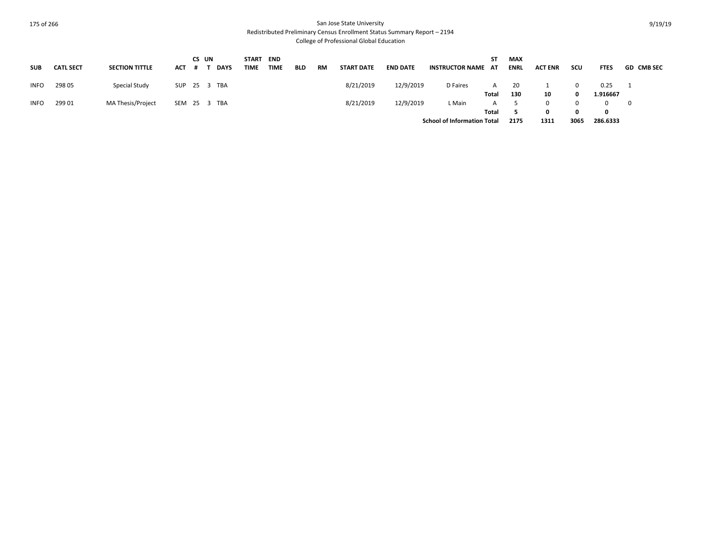Redistributed Preliminary Census Enrollment Status Summary Report – 2194

College of Professional Global Education

| SUB         | <b>CATL SECT</b> | <b>SECTION TITTLE</b> | ACT # T      | CS UN | DAYS | START END<br>TIME | TIME | <b>BLD</b> | RM | <b>START DATE</b> | <b>END DATE</b> | <b>INSTRUCTOR NAME AT</b>          | ST         | <b>MAX</b><br><b>ENRL</b> | <b>ACT ENR</b> | scu          | <b>FTES</b>    | <b>GD CMB SEC</b> |
|-------------|------------------|-----------------------|--------------|-------|------|-------------------|------|------------|----|-------------------|-----------------|------------------------------------|------------|---------------------------|----------------|--------------|----------------|-------------------|
| <b>INFO</b> | 298 05           | Special Study         | SUP 25 3 TBA |       |      |                   |      |            |    | 8/21/2019         | 12/9/2019       | D Faires                           | A          | 20                        |                |              | 0.25           |                   |
| <b>INFO</b> | 299 01           | MA Thesis/Project     | SEM 25 3 TBA |       |      |                   |      |            |    | 8/21/2019         | 12/9/2019       | L Main                             | Total<br>A | 130                       | 10             |              | 1.916667<br>O. | $\overline{0}$    |
|             |                  |                       |              |       |      |                   |      |            |    |                   |                 |                                    | Total      |                           | <sup>0</sup>   | <sup>0</sup> | 0              |                   |
|             |                  |                       |              |       |      |                   |      |            |    |                   |                 | <b>School of Information Total</b> |            | 2175                      | 1311           | 3065         | 286.6333       |                   |